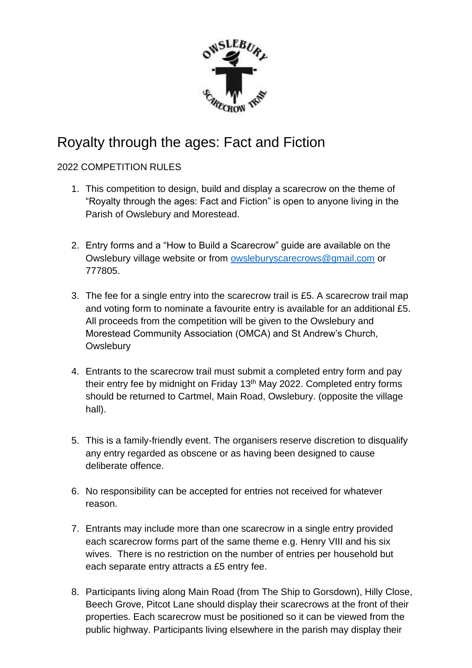

## Royalty through the ages: Fact and Fiction

## 2022 COMPETITION RULES

- 1. This competition to design, build and display a scarecrow on the theme of "Royalty through the ages: Fact and Fiction" is open to anyone living in the Parish of Owslebury and Morestead.
- 2. Entry forms and a "How to Build a Scarecrow" guide are available on the Owslebury village website or from [owsleburyscarecrows@gmail.com](mailto:owsleburyscarecrows@gmail.com) or 777805.
- 3. The fee for a single entry into the scarecrow trail is £5. A scarecrow trail map and voting form to nominate a favourite entry is available for an additional £5. All proceeds from the competition will be given to the Owslebury and Morestead Community Association (OMCA) and St Andrew's Church, **Owslebury**
- 4. Entrants to the scarecrow trail must submit a completed entry form and pay their entry fee by midnight on Friday 13<sup>th</sup> May 2022. Completed entry forms should be returned to Cartmel, Main Road, Owslebury. (opposite the village hall).
- 5. This is a family-friendly event. The organisers reserve discretion to disqualify any entry regarded as obscene or as having been designed to cause deliberate offence.
- 6. No responsibility can be accepted for entries not received for whatever reason.
- 7. Entrants may include more than one scarecrow in a single entry provided each scarecrow forms part of the same theme e.g. Henry VIII and his six wives. There is no restriction on the number of entries per household but each separate entry attracts a £5 entry fee.
- 8. Participants living along Main Road (from The Ship to Gorsdown), Hilly Close, Beech Grove, Pitcot Lane should display their scarecrows at the front of their properties. Each scarecrow must be positioned so it can be viewed from the public highway. Participants living elsewhere in the parish may display their